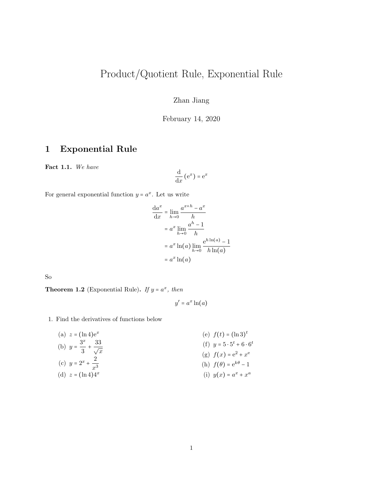# Product/Quotient Rule, Exponential Rule

Zhan Jiang

February 14, 2020

#### 1 Exponential Rule

Fact 1.1. We have

$$
\frac{\mathrm{d}}{\mathrm{d}x} \left( \mathrm{e}^x \right) = \mathrm{e}^x
$$

For general exponential function  $y = a^x$ . Let us write

$$
\frac{da^x}{dx} = \lim_{h \to 0} \frac{a^{x+h} - a^x}{h}
$$

$$
= a^x \lim_{h \to 0} \frac{a^h - 1}{h}
$$

$$
= a^x \ln(a) \lim_{h \to 0} \frac{e^{h \ln(a)} - 1}{h \ln(a)}
$$

$$
= a^x \ln(a)
$$

So

**Theorem 1.2** (Exponential Rule). If  $y = a^x$ , then

 $y' = a^x \ln(a)$ 

1. Find the derivatives of functions below

| (a) $z = (\ln 4)e^x$                          | (e) $f(t) = (\ln 3)^t$              |
|-----------------------------------------------|-------------------------------------|
| (b) $y = \frac{3^x}{3} + \frac{33}{\sqrt{x}}$ | (f) $y = 5 \cdot 5^t + 6 \cdot 6^t$ |
|                                               | (g) $f(x) = e^2 + x^e$              |
| (c) $y = 2^x + \frac{2}{x^3}$                 | (h) $f(\theta) = e^{k\theta} - 1$   |
| (d) $z = (\ln 4)4^x$                          | (i) $y(x) = a^x + x^a$              |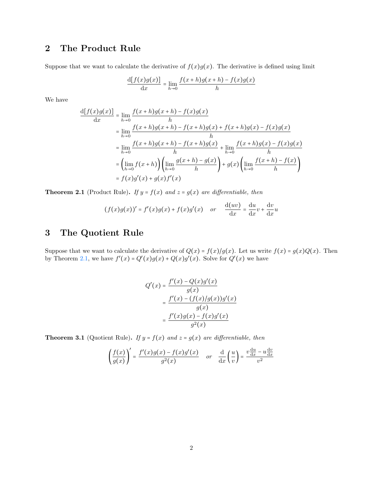### 2 The Product Rule

Suppose that we want to calculate the derivative of  $f(x)g(x)$ . The derivative is defined using limit

$$
\frac{d[f(x)g(x)]}{dx} = \lim_{h \to 0} \frac{f(x+h)g(x+h) - f(x)g(x)}{h}
$$

We have

$$
\frac{d[f(x)g(x)]}{dx} = \lim_{h \to 0} \frac{f(x+h)g(x+h) - f(x)g(x)}{h}
$$
  
\n
$$
= \lim_{h \to 0} \frac{f(x+h)g(x+h) - f(x+h)g(x) + f(x+h)g(x) - f(x)g(x)}{h}
$$
  
\n
$$
= \lim_{h \to 0} \frac{f(x+h)g(x+h) - f(x+h)g(x)}{h} + \lim_{h \to 0} \frac{f(x+h)g(x) - f(x)g(x)}{h}
$$
  
\n
$$
= \left(\lim_{h \to 0} f(x+h)\right) \left(\lim_{h \to 0} \frac{g(x+h) - g(x)}{h}\right) + g(x) \left(\lim_{h \to 0} \frac{f(x+h) - f(x)}{h}\right)
$$
  
\n
$$
= f(x)g'(x) + g(x)f'(x)
$$

<span id="page-1-0"></span>**Theorem 2.1** (Product Rule). If  $y = f(x)$  and  $z = g(x)$  are differentiable, then

$$
(f(x)g(x))' = f'(x)g(x) + f(x)g'(x) \quad or \quad \frac{d(uv)}{dx} = \frac{du}{dx}v + \frac{dv}{dx}u
$$

#### 3 The Quotient Rule

Suppose that we want to calculate the derivative of  $Q(x) = f(x)/g(x)$ . Let us write  $f(x) = g(x)Q(x)$ . Then by Theorem [2.1,](#page-1-0) we have  $f'(x) = Q'(x)g(x) + Q(x)g'(x)$ . Solve for  $Q'(x)$  we have

$$
Q'(x) = \frac{f'(x) - Q(x)g'(x)}{g(x)}
$$

$$
= \frac{f'(x) - (f(x)/g(x))g'(x)}{g(x)}
$$

$$
= \frac{f'(x)g(x) - f(x)g'(x)}{g^2(x)}
$$

**Theorem 3.1** (Quotient Rule). If  $y = f(x)$  and  $z = g(x)$  are differentiable, then

$$
\left(\frac{f(x)}{g(x)}\right)' = \frac{f'(x)g(x) - f(x)g'(x)}{g^2(x)} \quad \text{or} \quad \frac{\mathrm{d}}{\mathrm{d}x} \left(\frac{u}{v}\right) = \frac{v\frac{\mathrm{d}u}{\mathrm{d}x} - u\frac{\mathrm{d}v}{\mathrm{d}x}}{v^2}
$$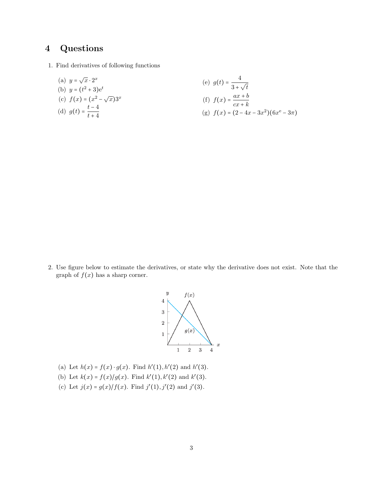## 4 Questions

1. Find derivatives of following functions

(a) 
$$
y = \sqrt{x} \cdot 2^x
$$
  
\n(b)  $y = (t^2 + 3)e^t$   
\n(c)  $f(x) = (x^2 - \sqrt{x})3^x$   
\n(d)  $g(t) = \frac{t - 4}{t + 4}$   
\n(e)  $g(t) = \frac{4}{3 + \sqrt{t}}$   
\n(f)  $f(x) = \frac{ax + b}{cx + k}$   
\n(g)  $f(x) = (2 - 4x - 3x^2)(6x^e - 3\pi)$ 

2. Use figure below to estimate the derivatives, or state why the derivative does not exist. Note that the graph of  $f(x)$  has a sharp corner.



- (a) Let  $h(x) = f(x) \cdot g(x)$ . Find  $h'(1), h'(2)$  and  $h'(3)$ .
- (b) Let  $k(x) = f(x)/g(x)$ . Find  $k'(1), k'(2)$  and  $k'(3)$ .
- (c) Let  $j(x) = g(x)/f(x)$ . Find  $j'(1), j'(2)$  and  $j'(3)$ .